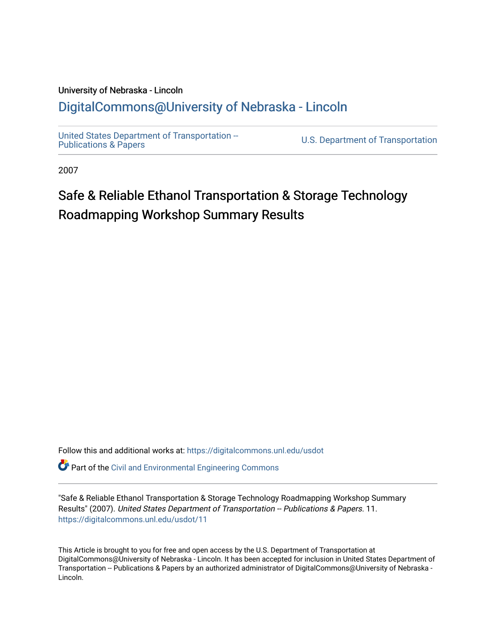#### University of Nebraska - Lincoln [DigitalCommons@University of Nebraska - Lincoln](https://digitalcommons.unl.edu/)

[United States Department of Transportation --](https://digitalcommons.unl.edu/usdot)<br>Publications & Papers

U.S. Department of Transportation

2007

### Safe & Reliable Ethanol Transportation & Storage Technology Roadmapping Workshop Summary Results

Follow this and additional works at: [https://digitalcommons.unl.edu/usdot](https://digitalcommons.unl.edu/usdot?utm_source=digitalcommons.unl.edu%2Fusdot%2F11&utm_medium=PDF&utm_campaign=PDFCoverPages) 

**P** Part of the [Civil and Environmental Engineering Commons](http://network.bepress.com/hgg/discipline/251?utm_source=digitalcommons.unl.edu%2Fusdot%2F11&utm_medium=PDF&utm_campaign=PDFCoverPages)

"Safe & Reliable Ethanol Transportation & Storage Technology Roadmapping Workshop Summary Results" (2007). United States Department of Transportation -- Publications & Papers. 11. [https://digitalcommons.unl.edu/usdot/11](https://digitalcommons.unl.edu/usdot/11?utm_source=digitalcommons.unl.edu%2Fusdot%2F11&utm_medium=PDF&utm_campaign=PDFCoverPages)

This Article is brought to you for free and open access by the U.S. Department of Transportation at DigitalCommons@University of Nebraska - Lincoln. It has been accepted for inclusion in United States Department of Transportation -- Publications & Papers by an authorized administrator of DigitalCommons@University of Nebraska -Lincoln.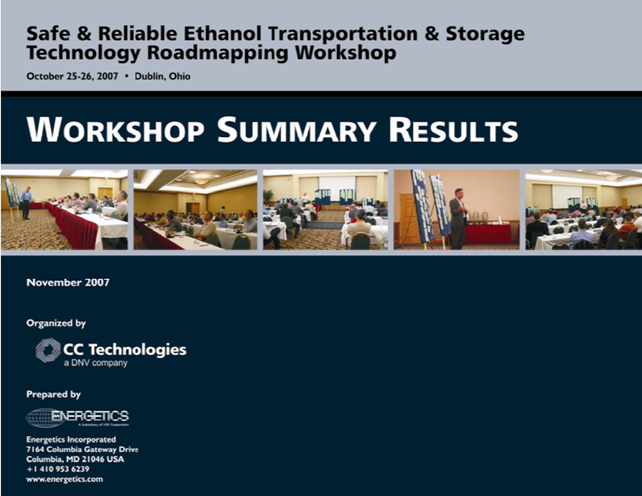### **Safe & Reliable Ethanol Transportation & Storage Technology Roadmapping Workshop**

October 25-26, 2007 . Dublin, Ohio

# **WORKSHOP SUMMARY RESULTS**



November 2007

Organized by



Prepared by



**Energetics Incorporated** 7164 Columbia Gateway Drive Columbia, MD 21046 USA  $+14109536239$ www.energetics.com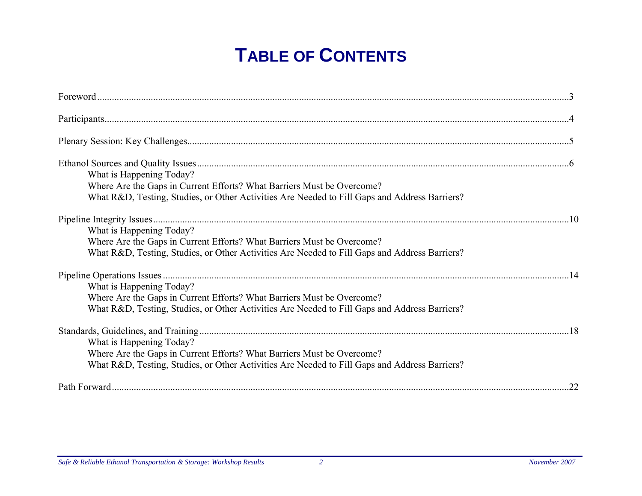# **TABLE OF CONTENTS**

| What is Happening Today?<br>Where Are the Gaps in Current Efforts? What Barriers Must be Overcome?<br>What R&D, Testing, Studies, or Other Activities Are Needed to Fill Gaps and Address Barriers? |    |
|-----------------------------------------------------------------------------------------------------------------------------------------------------------------------------------------------------|----|
| What is Happening Today?<br>Where Are the Gaps in Current Efforts? What Barriers Must be Overcome?<br>What R&D, Testing, Studies, or Other Activities Are Needed to Fill Gaps and Address Barriers? |    |
| What is Happening Today?<br>Where Are the Gaps in Current Efforts? What Barriers Must be Overcome?<br>What R&D, Testing, Studies, or Other Activities Are Needed to Fill Gaps and Address Barriers? |    |
| What is Happening Today?<br>Where Are the Gaps in Current Efforts? What Barriers Must be Overcome?<br>What R&D, Testing, Studies, or Other Activities Are Needed to Fill Gaps and Address Barriers? |    |
|                                                                                                                                                                                                     | 22 |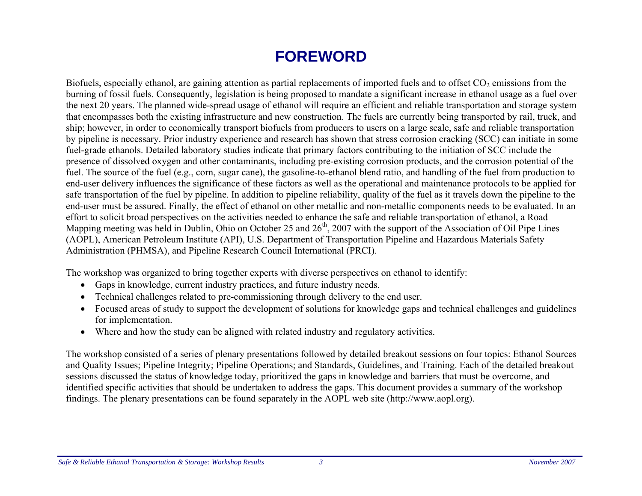### **FOREWORD**

Biofuels, especially ethanol, are gaining attention as partial replacements of imported fuels and to offset  $CO<sub>2</sub>$  emissions from the burning of fossil fuels. Consequently, legislation is being proposed to mandate a significant increase in ethanol usage as a fuel over the next 20 years. The planned wide-spread usage of ethanol will require an efficient and reliable transportation and storage system that encompasses both the existing infrastructure and new construction. The fuels are currently being transported by rail, truck, and ship; however, in order to economically transport biofuels from producers to users on a large scale, safe and reliable transportation by pipeline is necessary. Prior industry experience and research has shown that stress corrosion cracking (SCC) can initiate in some fuel-grade ethanols. Detailed laboratory studies indicate that primary factors contributing to the initiation of SCC include the presence of dissolved oxygen and other contaminants, including pre-existing corrosion products, and the corrosion potential of the fuel. The source of the fuel (e.g., corn, sugar cane), the gasoline-to-ethanol blend ratio, and handling of the fuel from production to end-user delivery influences the significance of these factors as well as the operational and maintenance protocols to be applied for safe transportation of the fuel by pipeline. In addition to pipeline reliability, quality of the fuel as it travels down the pipeline to the end-user must be assured. Finally, the effect of ethanol on other metallic and non-metallic components needs to be evaluated. In an effort to solicit broad perspectives on the activities needed to enhance the safe and reliable transportation of ethanol, a Road Mapping meeting was held in Dublin, Ohio on October 25 and  $26<sup>th</sup>$ , 2007 with the support of the Association of Oil Pipe Lines (AOPL), American Petroleum Institute (API), U.S. Department of Transportation Pipeline and Hazardous Materials Safety Administration (PHMSA), and Pipeline Research Council International (PRCI).

The workshop was organized to bring together experts with diverse perspectives on ethanol to identify:

- Gaps in knowledge, current industry practices, and future industry needs.
- Technical challenges related to pre-commissioning through delivery to the end user.
- Focused areas of study to support the development of solutions for knowledge gaps and technical challenges and guidelines for implementation.
- •Where and how the study can be aligned with related industry and regulatory activities.

The workshop consisted of a series of plenary presentations followed by detailed breakout sessions on four topics: Ethanol Sources and Quality Issues; Pipeline Integrity; Pipeline Operations; and Standards, Guidelines, and Training. Each of the detailed breakout sessions discussed the status of knowledge today, prioritized the gaps in knowledge and barriers that must be overcome, and identified specific activities that should be undertaken to address the gaps. This document provides a summary of the workshop findings. The plenary presentations can be found separately in the AOPL web site (http://www.aopl.org).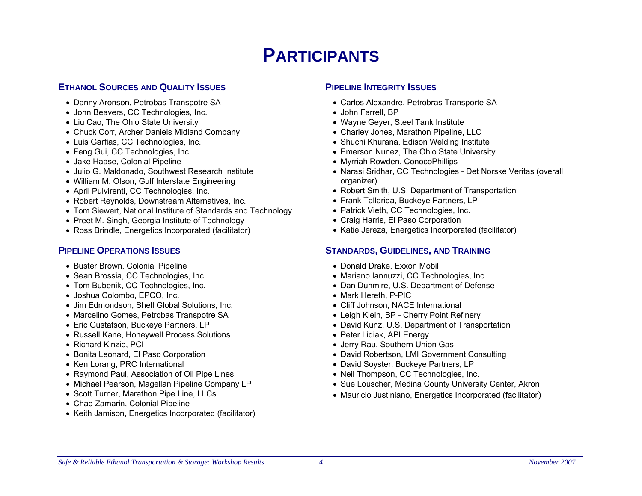### **PARTICIPANTS**

#### **ETHANOL SOURCES AND QUALITY ISSUES**

- Danny Aronson, Petrobas Transpotre SA
- John Beavers, CC Technologies, Inc.
- Liu Cao, The Ohio State University
- Chuck Corr, Archer Daniels Midland Company
- Luis Garfias, CC Technologies, Inc.
- Feng Gui, CC Technologies, Inc.
- Jake Haase, Colonial Pipeline
- Julio G. Maldonado, Southwest Research Institute
- William M. Olson, Gulf Interstate Engineering
- April Pulvirenti, CC Technologies, Inc.
- Robert Reynolds, Downstream Alternatives, Inc.
- Tom Siewert, National Institute of Standards and Technology
- Preet M. Singh, Georgia Institute of Technology
- Ross Brindle, Energetics Incorporated (facilitator)

#### **PIPELINE OPERATIONS ISSUES**

- Buster Brown, Colonial Pipeline
- Sean Brossia, CC Technologies, Inc.
- Tom Bubenik, CC Technologies, Inc.
- Joshua Colombo, EPCO, Inc.
- Jim Edmondson, Shell Global Solutions, Inc.
- Marcelino Gomes, Petrobas Transpotre SA
- Eric Gustafson, Buckeye Partners, LP
- Russell Kane, Honeywell Process Solutions
- Richard Kinzie, PCI
- Bonita Leonard, El Paso Corporation
- Ken Lorang, PRC International
- Raymond Paul, Association of Oil Pipe Lines
- Michael Pearson, Magellan Pipeline Company LP
- Scott Turner, Marathon Pipe Line, LLCs
- Chad Zamarin, Colonial Pipeline
- Keith Jamison, Energetics Incorporated (facilitator)

#### **PIPELINE INTEGRITY ISSUES**

- Carlos Alexandre, Petrobras Transporte SA
- John Farrell, BP
- Wayne Geyer, Steel Tank Institute
- Charley Jones, Marathon Pipeline, LLC
- Shuchi Khurana, Edison Welding Institute
- Emerson Nunez, The Ohio State University
- Myrriah Rowden, ConocoPhillips
- Narasi Sridhar, CC Technologies Det Norske Veritas (overall organizer)
- Robert Smith, U.S. Department of Transportation
- Frank Tallarida, Buckeye Partners, LP
- Patrick Vieth, CC Technologies, Inc.
- Craig Harris, El Paso Corporation
- Katie Jereza, Energetics Incorporated (facilitator)

#### **STANDARDS, GUIDELINES, AND TRAINING**

- Donald Drake, Exxon Mobil
- Mariano Iannuzzi, CC Technologies, Inc.
- Dan Dunmire, U.S. Department of Defense
- Mark Hereth, P-PIC
- Cliff Johnson, NACE International
- Leigh Klein, BP Cherry Point Refinery
- David Kunz, U.S. Department of Transportation
- Peter Lidiak, API Energy
- Jerry Rau, Southern Union Gas
- David Robertson, LMI Government Consulting
- David Soyster, Buckeye Partners, LP
- Neil Thompson, CC Technologies, Inc.
- Sue Louscher, Medina County University Center, Akron
- Mauricio Justiniano, Energetics Incorporated (facilitator)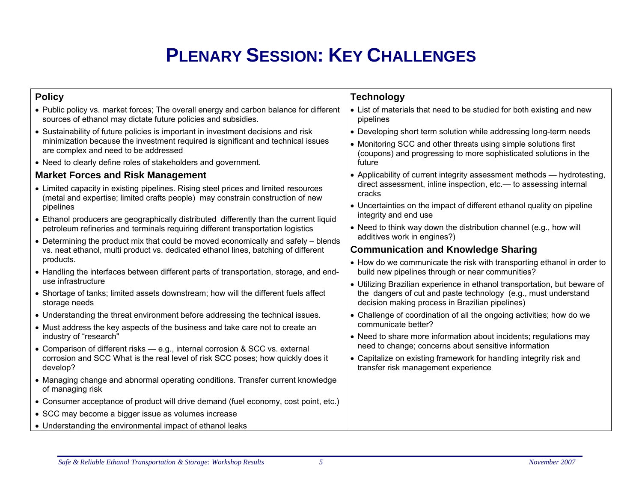# **PLENARY SESSION: KEY CHALLENGES**

| <b>Policy</b>                                                                                                                                                                                                 | <b>Technology</b>                                                                                                                    |  |  |
|---------------------------------------------------------------------------------------------------------------------------------------------------------------------------------------------------------------|--------------------------------------------------------------------------------------------------------------------------------------|--|--|
| • Public policy vs. market forces; The overall energy and carbon balance for different<br>sources of ethanol may dictate future policies and subsidies.                                                       | • List of materials that need to be studied for both existing and new<br>pipelines                                                   |  |  |
| • Sustainability of future policies is important in investment decisions and risk<br>minimization because the investment required is significant and technical issues<br>are complex and need to be addressed | • Developing short term solution while addressing long-term needs<br>• Monitoring SCC and other threats using simple solutions first |  |  |
| • Need to clearly define roles of stakeholders and government.                                                                                                                                                | (coupons) and progressing to more sophisticated solutions in the<br>future                                                           |  |  |
| <b>Market Forces and Risk Management</b>                                                                                                                                                                      | • Applicability of current integrity assessment methods - hydrotesting,                                                              |  |  |
| • Limited capacity in existing pipelines. Rising steel prices and limited resources<br>(metal and expertise; limited crafts people) may constrain construction of new                                         | direct assessment, inline inspection, etc.— to assessing internal<br>cracks                                                          |  |  |
| pipelines                                                                                                                                                                                                     | • Uncertainties on the impact of different ethanol quality on pipeline<br>integrity and end use                                      |  |  |
| • Ethanol producers are geographically distributed differently than the current liquid<br>petroleum refineries and terminals requiring different transportation logistics                                     | • Need to think way down the distribution channel (e.g., how will                                                                    |  |  |
| • Determining the product mix that could be moved economically and safely – blends                                                                                                                            | additives work in engines?)                                                                                                          |  |  |
| vs. neat ethanol, multi product vs. dedicated ethanol lines, batching of different<br>products.                                                                                                               | <b>Communication and Knowledge Sharing</b>                                                                                           |  |  |
| • Handling the interfaces between different parts of transportation, storage, and end-                                                                                                                        | • How do we communicate the risk with transporting ethanol in order to<br>build new pipelines through or near communities?           |  |  |
| use infrastructure                                                                                                                                                                                            | • Utilizing Brazilian experience in ethanol transportation, but beware of                                                            |  |  |
| • Shortage of tanks; limited assets downstream; how will the different fuels affect<br>storage needs                                                                                                          | the dangers of cut and paste technology (e.g., must understand<br>decision making process in Brazilian pipelines)                    |  |  |
| • Understanding the threat environment before addressing the technical issues.                                                                                                                                | • Challenge of coordination of all the ongoing activities; how do we                                                                 |  |  |
| • Must address the key aspects of the business and take care not to create an<br>industry of "research"                                                                                                       | communicate better?<br>• Need to share more information about incidents; regulations may                                             |  |  |
| • Comparison of different risks - e.g., internal corrosion & SCC vs. external                                                                                                                                 | need to change; concerns about sensitive information                                                                                 |  |  |
| corrosion and SCC What is the real level of risk SCC poses; how quickly does it<br>develop?                                                                                                                   | • Capitalize on existing framework for handling integrity risk and<br>transfer risk management experience                            |  |  |
| • Managing change and abnormal operating conditions. Transfer current knowledge<br>of managing risk                                                                                                           |                                                                                                                                      |  |  |
| • Consumer acceptance of product will drive demand (fuel economy, cost point, etc.)                                                                                                                           |                                                                                                                                      |  |  |
| • SCC may become a bigger issue as volumes increase                                                                                                                                                           |                                                                                                                                      |  |  |
| • Understanding the environmental impact of ethanol leaks                                                                                                                                                     |                                                                                                                                      |  |  |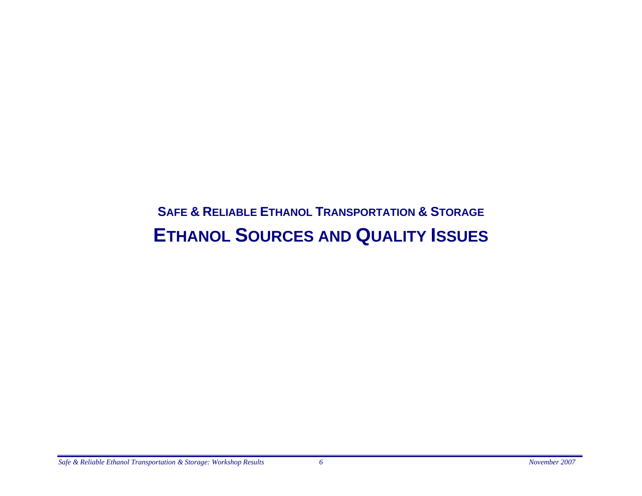### **SAFE & RELIABLE ETHANOL TRANSPORTATION & STORAGE ETHANOL SOURCES AND QUALITY ISSUES**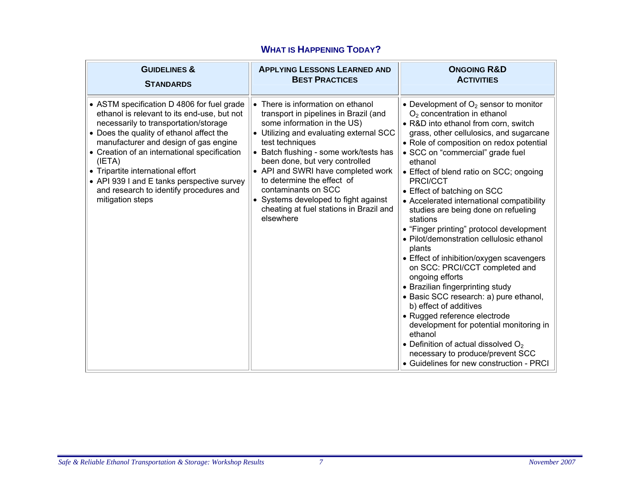| <b>GUIDELINES &amp;</b>                                                                                                                                                                                                                                                                                                                                                                                                             | <b>APPLYING LESSONS LEARNED AND</b>                                                                                                                                                                                                                                                                                                                                                                                                            | <b>ONGOING R&amp;D</b>                                                                                                                                                                                                                                                                                                                                                                                                                                                                                                                                                                                                                                                                                                                                                                                                                                                                                                                                                  |
|-------------------------------------------------------------------------------------------------------------------------------------------------------------------------------------------------------------------------------------------------------------------------------------------------------------------------------------------------------------------------------------------------------------------------------------|------------------------------------------------------------------------------------------------------------------------------------------------------------------------------------------------------------------------------------------------------------------------------------------------------------------------------------------------------------------------------------------------------------------------------------------------|-------------------------------------------------------------------------------------------------------------------------------------------------------------------------------------------------------------------------------------------------------------------------------------------------------------------------------------------------------------------------------------------------------------------------------------------------------------------------------------------------------------------------------------------------------------------------------------------------------------------------------------------------------------------------------------------------------------------------------------------------------------------------------------------------------------------------------------------------------------------------------------------------------------------------------------------------------------------------|
| <b>STANDARDS</b>                                                                                                                                                                                                                                                                                                                                                                                                                    | <b>BEST PRACTICES</b>                                                                                                                                                                                                                                                                                                                                                                                                                          | <b>ACTIVITIES</b>                                                                                                                                                                                                                                                                                                                                                                                                                                                                                                                                                                                                                                                                                                                                                                                                                                                                                                                                                       |
| • ASTM specification D 4806 for fuel grade<br>ethanol is relevant to its end-use, but not<br>necessarily to transportation/storage<br>• Does the quality of ethanol affect the<br>manufacturer and design of gas engine<br>• Creation of an international specification<br>(IETA)<br>• Tripartite international effort<br>• API 939 I and E tanks perspective survey<br>and research to identify procedures and<br>mitigation steps | • There is information on ethanol<br>transport in pipelines in Brazil (and<br>some information in the US)<br>• Utilizing and evaluating external SCC<br>test techniques<br>• Batch flushing - some work/tests has<br>been done, but very controlled<br>• API and SWRI have completed work<br>to determine the effect of<br>contaminants on SCC<br>• Systems developed to fight against<br>cheating at fuel stations in Brazil and<br>elsewhere | • Development of $O_2$ sensor to monitor<br>$O2$ concentration in ethanol<br>• R&D into ethanol from corn, switch<br>grass, other cellulosics, and sugarcane<br>• Role of composition on redox potential<br>· SCC on "commercial" grade fuel<br>ethanol<br>• Effect of blend ratio on SCC; ongoing<br>PRCI/CCT<br>• Effect of batching on SCC<br>• Accelerated international compatibility<br>studies are being done on refueling<br>stations<br>• "Finger printing" protocol development<br>· Pilot/demonstration cellulosic ethanol<br>plants<br>• Effect of inhibition/oxygen scavengers<br>on SCC: PRCI/CCT completed and<br>ongoing efforts<br>• Brazilian fingerprinting study<br>· Basic SCC research: a) pure ethanol,<br>b) effect of additives<br>• Rugged reference electrode<br>development for potential monitoring in<br>ethanol<br>• Definition of actual dissolved $O2$<br>necessary to produce/prevent SCC<br>• Guidelines for new construction - PRCI |

#### **WHAT IS HAPPENING TODAY?**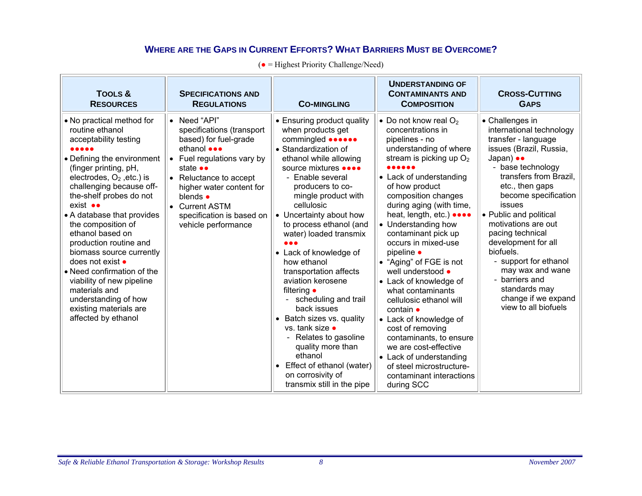#### **WHERE ARE THE GAPS IN CURRENT EFFORTS? WHAT BARRIERS MUST BE OVERCOME?**

| <b>TOOLS &amp;</b><br><b>RESOURCES</b>                                                                                                                                                                                                                                                                                                                                                                                                                                                                                                                   | <b>SPECIFICATIONS AND</b><br><b>REGULATIONS</b>                                                                                                                                                                                                                                                    | <b>CO-MINGLING</b>                                                                                                                                                                                                                                                                                                                                                                                                                                                                                                                                                                                                                                                         | <b>UNDERSTANDING OF</b><br><b>CONTAMINANTS AND</b><br><b>COMPOSITION</b>                                                                                                                                                                                                                                                                                                                                                                                                                                                                                                                                                                                                                | <b>CROSS-CUTTING</b><br><b>GAPS</b>                                                                                                                                                                                                                                                                                                                                                                                                                                   |
|----------------------------------------------------------------------------------------------------------------------------------------------------------------------------------------------------------------------------------------------------------------------------------------------------------------------------------------------------------------------------------------------------------------------------------------------------------------------------------------------------------------------------------------------------------|----------------------------------------------------------------------------------------------------------------------------------------------------------------------------------------------------------------------------------------------------------------------------------------------------|----------------------------------------------------------------------------------------------------------------------------------------------------------------------------------------------------------------------------------------------------------------------------------------------------------------------------------------------------------------------------------------------------------------------------------------------------------------------------------------------------------------------------------------------------------------------------------------------------------------------------------------------------------------------------|-----------------------------------------------------------------------------------------------------------------------------------------------------------------------------------------------------------------------------------------------------------------------------------------------------------------------------------------------------------------------------------------------------------------------------------------------------------------------------------------------------------------------------------------------------------------------------------------------------------------------------------------------------------------------------------------|-----------------------------------------------------------------------------------------------------------------------------------------------------------------------------------------------------------------------------------------------------------------------------------------------------------------------------------------------------------------------------------------------------------------------------------------------------------------------|
| • No practical method for<br>routine ethanol<br>acceptability testing<br><br>• Defining the environment<br>(finger printing, pH,<br>electrodes, $O_2$ , etc.) is<br>challenging because off-<br>the-shelf probes do not<br>$exist \bullet\bullet$<br>• A database that provides<br>the composition of<br>ethanol based on<br>production routine and<br>biomass source currently<br>does not exist •<br>• Need confirmation of the<br>viability of new pipeline<br>materials and<br>understanding of how<br>existing materials are<br>affected by ethanol | • Need "API"<br>specifications (transport<br>based) for fuel-grade<br>ethanol <b>eee</b><br>Fuel regulations vary by<br>$\bullet$<br>state ••<br>• Reluctance to accept<br>higher water content for<br>blends $\bullet$<br><b>Current ASTM</b><br>specification is based on<br>vehicle performance | • Ensuring product quality<br>when products get<br>commingled <b>one one</b><br>• Standardization of<br>ethanol while allowing<br>source mixtures ••••<br>- Enable several<br>producers to co-<br>mingle product with<br>cellulosic<br>• Uncertainty about how<br>to process ethanol (and<br>water) loaded transmix<br>• Lack of knowledge of<br>how ethanol<br>transportation affects<br>aviation kerosene<br>filtering $\bullet$<br>- scheduling and trail<br>back issues<br>• Batch sizes vs. quality<br>vs. tank size $\bullet$<br>Relates to gasoline<br>quality more than<br>ethanol<br>Effect of ethanol (water)<br>on corrosivity of<br>transmix still in the pipe | • Do not know real $O_2$<br>concentrations in<br>pipelines - no<br>understanding of where<br>stream is picking up $O2$<br>• Lack of understanding<br>of how product<br>composition changes<br>during aging (with time,<br>heat, length, etc.) ••••<br>• Understanding how<br>contaminant pick up<br>occurs in mixed-use<br>pipeline $\bullet$<br>• "Aging" of FGE is not<br>well understood •<br>• Lack of knowledge of<br>what contaminants<br>cellulosic ethanol will<br>contain •<br>• Lack of knowledge of<br>cost of removing<br>contaminants, to ensure<br>we are cost-effective<br>• Lack of understanding<br>of steel microstructure-<br>contaminant interactions<br>during SCC | • Challenges in<br>international technology<br>transfer - language<br>issues (Brazil, Russia,<br>Japan) $\bullet \bullet$<br>- base technology<br>transfers from Brazil,<br>etc., then gaps<br>become specification<br>issues<br>• Public and political<br>motivations are out<br>pacing technical<br>development for all<br>biofuels.<br>- support for ethanol<br>may wax and wane<br>- barriers and<br>standards may<br>change if we expand<br>view to all biofuels |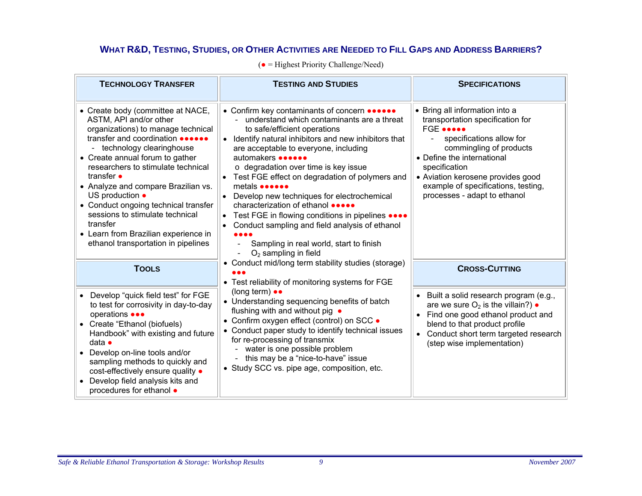#### **WHAT R&D, TESTING, STUDIES, OR OTHER ACTIVITIES ARE NEEDED TO FILL GAPS AND ADDRESS BARRIERS?**

| <b>TECHNOLOGY TRANSFER</b>                                                                                                                                                                                                                                                                                                                                                                                                                                                          | <b>TESTING AND STUDIES</b>                                                                                                                                                                                                                                                                                                                                                                                                                                                                                                                                                                                                                                      | <b>SPECIFICATIONS</b>                                                                                                                                                                                                                                                                                                   |
|-------------------------------------------------------------------------------------------------------------------------------------------------------------------------------------------------------------------------------------------------------------------------------------------------------------------------------------------------------------------------------------------------------------------------------------------------------------------------------------|-----------------------------------------------------------------------------------------------------------------------------------------------------------------------------------------------------------------------------------------------------------------------------------------------------------------------------------------------------------------------------------------------------------------------------------------------------------------------------------------------------------------------------------------------------------------------------------------------------------------------------------------------------------------|-------------------------------------------------------------------------------------------------------------------------------------------------------------------------------------------------------------------------------------------------------------------------------------------------------------------------|
| • Create body (committee at NACE,<br>ASTM, API and/or other<br>organizations) to manage technical<br>transfer and coordination<br>- technology clearinghouse<br>• Create annual forum to gather<br>researchers to stimulate technical<br>transfer •<br>• Analyze and compare Brazilian vs.<br>US production •<br>• Conduct ongoing technical transfer<br>sessions to stimulate technical<br>transfer<br>• Learn from Brazilian experience in<br>ethanol transportation in pipelines | • Confirm key contaminants of concern ••••••<br>understand which contaminants are a threat<br>to safe/efficient operations<br>Identify natural inhibitors and new inhibitors that<br>are acceptable to everyone, including<br>automakers <b>exercise</b><br>o degradation over time is key issue<br>Test FGE effect on degradation of polymers and<br>$\bullet$<br>metals <b>one</b><br>Develop new techniques for electrochemical<br>characterization of ethanol •••••<br>Test FGE in flowing conditions in pipelines ••••<br>$\bullet$<br>Conduct sampling and field analysis of ethanol<br>Sampling in real world, start to finish<br>$O2$ sampling in field | • Bring all information into a<br>transportation specification for<br>FGE<br>specifications allow for<br>$\overline{\phantom{0}}$<br>commingling of products<br>• Define the international<br>specification<br>• Aviation kerosene provides good<br>example of specifications, testing,<br>processes - adapt to ethanol |
| <b>TOOLS</b>                                                                                                                                                                                                                                                                                                                                                                                                                                                                        | • Conduct mid/long term stability studies (storage)<br>• Test reliability of monitoring systems for FGE                                                                                                                                                                                                                                                                                                                                                                                                                                                                                                                                                         | <b>CROSS-CUTTING</b>                                                                                                                                                                                                                                                                                                    |
| • Develop "quick field test" for FGE<br>to test for corrosivity in day-to-day<br>operations •••<br>• Create "Ethanol (biofuels)<br>Handbook" with existing and future<br>data $\bullet$<br>• Develop on-line tools and/or<br>sampling methods to quickly and<br>cost-effectively ensure quality .<br>Develop field analysis kits and<br>procedures for ethanol $\bullet$                                                                                                            | (long term) $\bullet\bullet$<br>• Understanding sequencing benefits of batch<br>flushing with and without pig .<br>• Confirm oxygen effect (control) on SCC •<br>• Conduct paper study to identify technical issues<br>for re-processing of transmix<br>water is one possible problem<br>- this may be a "nice-to-have" issue<br>• Study SCC vs. pipe age, composition, etc.                                                                                                                                                                                                                                                                                    | Built a solid research program (e.g.,<br>are we sure $O_2$ is the villain?) $\bullet$<br>Find one good ethanol product and<br>blend to that product profile<br>Conduct short term targeted research<br>(step wise implementation)                                                                                       |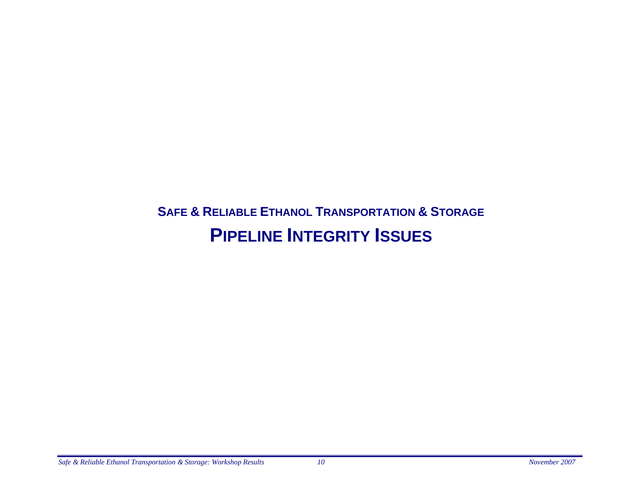### **SAFE & RELIABLE ETHANOL TRANSPORTATION & STORAGE PIPELINE INTEGRITY ISSUES**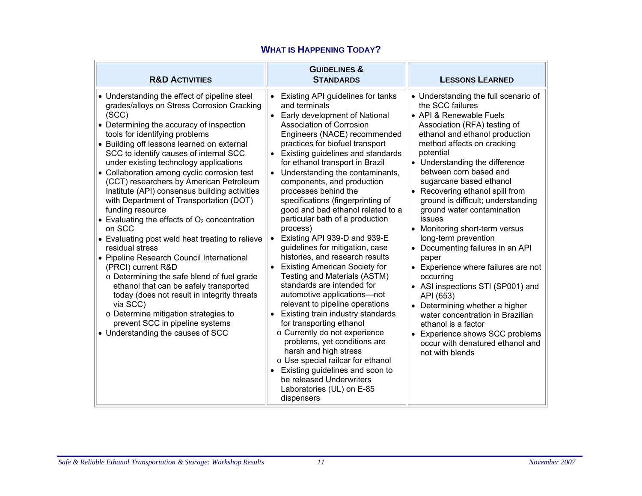| <b>R&amp;D ACTIVITIES</b>                                                                                                                                                                                                                                                                                                                                                                                                                                                                                                                                                                                                                                                                                                                                                                                                                                                                                                                                                                             | <b>GUIDELINES &amp;</b><br><b>STANDARDS</b>                                                                                                                                                                                                                                                                                                                                                                                                                                                                                                                                                                                                                                                                                                                                                                                                                                                                                                                                                                                                                                 | <b>LESSONS LEARNED</b>                                                                                                                                                                                                                                                                                                                                                                                                                                                                                                                                                                                                                                                                                                                                                                                   |
|-------------------------------------------------------------------------------------------------------------------------------------------------------------------------------------------------------------------------------------------------------------------------------------------------------------------------------------------------------------------------------------------------------------------------------------------------------------------------------------------------------------------------------------------------------------------------------------------------------------------------------------------------------------------------------------------------------------------------------------------------------------------------------------------------------------------------------------------------------------------------------------------------------------------------------------------------------------------------------------------------------|-----------------------------------------------------------------------------------------------------------------------------------------------------------------------------------------------------------------------------------------------------------------------------------------------------------------------------------------------------------------------------------------------------------------------------------------------------------------------------------------------------------------------------------------------------------------------------------------------------------------------------------------------------------------------------------------------------------------------------------------------------------------------------------------------------------------------------------------------------------------------------------------------------------------------------------------------------------------------------------------------------------------------------------------------------------------------------|----------------------------------------------------------------------------------------------------------------------------------------------------------------------------------------------------------------------------------------------------------------------------------------------------------------------------------------------------------------------------------------------------------------------------------------------------------------------------------------------------------------------------------------------------------------------------------------------------------------------------------------------------------------------------------------------------------------------------------------------------------------------------------------------------------|
| • Understanding the effect of pipeline steel<br>grades/alloys on Stress Corrosion Cracking<br>(SCC)<br>• Determining the accuracy of inspection<br>tools for identifying problems<br>• Building off lessons learned on external<br>SCC to identify causes of internal SCC<br>under existing technology applications<br>• Collaboration among cyclic corrosion test<br>(CCT) researchers by American Petroleum<br>Institute (API) consensus building activities<br>with Department of Transportation (DOT)<br>funding resource<br>• Evaluating the effects of $O2$ concentration<br>on SCC<br>• Evaluating post weld heat treating to relieve<br>residual stress<br>• Pipeline Research Council International<br>(PRCI) current R&D<br>o Determining the safe blend of fuel grade<br>ethanol that can be safely transported<br>today (does not result in integrity threats<br>via SCC)<br>o Determine mitigation strategies to<br>prevent SCC in pipeline systems<br>• Understanding the causes of SCC | Existing API guidelines for tanks<br>and terminals<br>Early development of National<br><b>Association of Corrosion</b><br>Engineers (NACE) recommended<br>practices for biofuel transport<br>Existing guidelines and standards<br>for ethanol transport in Brazil<br>Understanding the contaminants,<br>components, and production<br>processes behind the<br>specifications (fingerprinting of<br>good and bad ethanol related to a<br>particular bath of a production<br>process)<br>Existing API 939-D and 939-E<br>quidelines for mitigation, case<br>histories, and research results<br><b>Existing American Society for</b><br>Testing and Materials (ASTM)<br>standards are intended for<br>automotive applications—not<br>relevant to pipeline operations<br>Existing train industry standards<br>for transporting ethanol<br>o Currently do not experience<br>problems, yet conditions are<br>harsh and high stress<br>o Use special railcar for ethanol<br>Existing guidelines and soon to<br>be released Underwriters<br>Laboratories (UL) on E-85<br>dispensers | • Understanding the full scenario of<br>the SCC failures<br>• API & Renewable Fuels<br>Association (RFA) testing of<br>ethanol and ethanol production<br>method affects on cracking<br>potential<br>• Understanding the difference<br>between corn based and<br>sugarcane based ethanol<br>• Recovering ethanol spill from<br>ground is difficult; understanding<br>ground water contamination<br>issues<br>• Monitoring short-term versus<br>long-term prevention<br>• Documenting failures in an API<br>paper<br>• Experience where failures are not<br>occurring<br>• ASI inspections STI (SP001) and<br>API (653)<br>Determining whether a higher<br>water concentration in Brazilian<br>ethanol is a factor<br>Experience shows SCC problems<br>occur with denatured ethanol and<br>not with blends |

#### **WHAT IS HAPPENING TODAY?**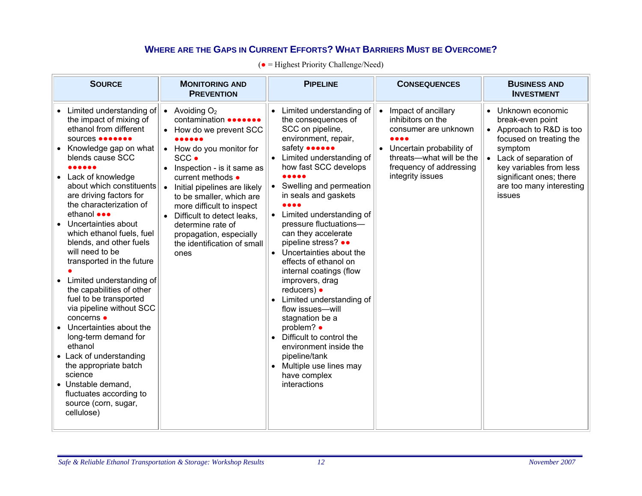#### **WHERE ARE THE GAPS IN CURRENT EFFORTS? WHAT BARRIERS MUST BE OVERCOME?**

| <b>SOURCE</b>                                                                                                                                                                                                                                                                                                                                                                                                                         | <b>MONITORING AND</b><br><b>PREVENTION</b>                                                                                                                                                                                                                                 |                        | <b>PIPELINE</b>                                                                                                                                                                                                                                                                                                                                                                                                        |    | <b>CONSEQUENCES</b>                                                         |                        | <b>BUSINESS AND</b><br><b>INVESTMENT</b>                                                  |
|---------------------------------------------------------------------------------------------------------------------------------------------------------------------------------------------------------------------------------------------------------------------------------------------------------------------------------------------------------------------------------------------------------------------------------------|----------------------------------------------------------------------------------------------------------------------------------------------------------------------------------------------------------------------------------------------------------------------------|------------------------|------------------------------------------------------------------------------------------------------------------------------------------------------------------------------------------------------------------------------------------------------------------------------------------------------------------------------------------------------------------------------------------------------------------------|----|-----------------------------------------------------------------------------|------------------------|-------------------------------------------------------------------------------------------|
| Limited understanding of $\ \bullet\ $ Avoiding O <sub>2</sub><br>the impact of mixing of<br>ethanol from different<br>sources <b></b>                                                                                                                                                                                                                                                                                                | contamination <b></b><br>How do we prevent SCC                                                                                                                                                                                                                             |                        | Limited understanding of<br>the consequences of<br>SCC on pipeline,<br>environment, repair,                                                                                                                                                                                                                                                                                                                            | ∣∙ | Impact of ancillary<br>inhibitors on the<br>consumer are unknown<br>0 0 0 0 | $\bullet$<br>$\bullet$ | Unknown economic<br>break-even point<br>Approach to R&D is too<br>focused on treating the |
| Knowledge gap on what<br>blends cause SCC                                                                                                                                                                                                                                                                                                                                                                                             | • How do you monitor for<br>SCC .                                                                                                                                                                                                                                          |                        | safety <b>oncore</b><br>Limited understanding of                                                                                                                                                                                                                                                                                                                                                                       |    | Uncertain probability of<br>threats-what will be the                        |                        | symptom<br>Lack of separation of                                                          |
| <br>Lack of knowledge<br>about which constituents<br>are driving factors for<br>the characterization of<br>ethanol •••<br>Uncertainties about<br>which ethanol fuels, fuel<br>blends, and other fuels<br>will need to be<br>transported in the future<br>Limited understanding of<br>the capabilities of other<br>fuel to be transported<br>via pipeline without SCC<br>concerns •<br>Uncertainties about the<br>long-term demand for | Inspection - is it same as<br>current methods •<br>Initial pipelines are likely<br>$\bullet$<br>to be smaller, which are<br>more difficult to inspect<br>Difficult to detect leaks.<br>determine rate of<br>propagation, especially<br>the identification of small<br>ones | $\bullet$<br>$\bullet$ | how fast SCC develops<br><br>Swelling and permeation<br>in seals and gaskets<br>Limited understanding of<br>pressure fluctuations-<br>can they accelerate<br>pipeline stress? ••<br>Uncertainties about the<br>effects of ethanol on<br>internal coatings (flow<br>improvers, drag<br>reducers) $\bullet$<br>Limited understanding of<br>flow issues-will<br>stagnation be a<br>problem? •<br>Difficult to control the |    | frequency of addressing<br>integrity issues                                 |                        | key variables from less<br>significant ones; there<br>are too many interesting<br>issues  |
| ethanol<br>• Lack of understanding<br>the appropriate batch<br>science                                                                                                                                                                                                                                                                                                                                                                |                                                                                                                                                                                                                                                                            |                        | environment inside the<br>pipeline/tank<br>Multiple use lines may<br>have complex                                                                                                                                                                                                                                                                                                                                      |    |                                                                             |                        |                                                                                           |
| • Unstable demand,<br>fluctuates according to<br>source (corn, sugar,<br>cellulose)                                                                                                                                                                                                                                                                                                                                                   |                                                                                                                                                                                                                                                                            |                        | interactions                                                                                                                                                                                                                                                                                                                                                                                                           |    |                                                                             |                        |                                                                                           |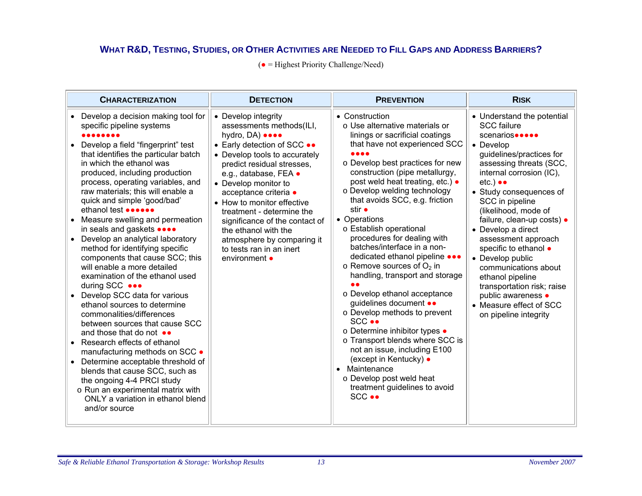#### **WHAT R&D, TESTING, STUDIES, OR OTHER ACTIVITIES ARE NEEDED TO FILL GAPS AND ADDRESS BARRIERS?**

| <b>CHARACTERIZATION</b>                                                                                                                                                                                                                                                                                                                                                                                                                                                                                                                                                                                                                                                                                                                                                                                                                                                                                                                                                                                                                         | <b>DETECTION</b>                                                                                                                                                                                                                                                                                                                                                                                                                           | <b>PREVENTION</b>                                                                                                                                                                                                                                                                                                                                                                                                                                                                                                                                                                                                                                                                                                                                                                                                                                  | <b>RISK</b>                                                                                                                                                                                                                                                                                                                                                                                                                                                                                                                                               |
|-------------------------------------------------------------------------------------------------------------------------------------------------------------------------------------------------------------------------------------------------------------------------------------------------------------------------------------------------------------------------------------------------------------------------------------------------------------------------------------------------------------------------------------------------------------------------------------------------------------------------------------------------------------------------------------------------------------------------------------------------------------------------------------------------------------------------------------------------------------------------------------------------------------------------------------------------------------------------------------------------------------------------------------------------|--------------------------------------------------------------------------------------------------------------------------------------------------------------------------------------------------------------------------------------------------------------------------------------------------------------------------------------------------------------------------------------------------------------------------------------------|----------------------------------------------------------------------------------------------------------------------------------------------------------------------------------------------------------------------------------------------------------------------------------------------------------------------------------------------------------------------------------------------------------------------------------------------------------------------------------------------------------------------------------------------------------------------------------------------------------------------------------------------------------------------------------------------------------------------------------------------------------------------------------------------------------------------------------------------------|-----------------------------------------------------------------------------------------------------------------------------------------------------------------------------------------------------------------------------------------------------------------------------------------------------------------------------------------------------------------------------------------------------------------------------------------------------------------------------------------------------------------------------------------------------------|
| Develop a decision making tool for<br>specific pipeline systems<br>Develop a field "fingerprint" test<br>that identifies the particular batch<br>in which the ethanol was<br>produced, including production<br>process, operating variables, and<br>raw materials; this will enable a<br>quick and simple 'good/bad'<br>ethanol test ••••••<br>Measure swelling and permeation<br>in seals and gaskets ••••<br>Develop an analytical laboratory<br>method for identifying specific<br>components that cause SCC; this<br>will enable a more detailed<br>examination of the ethanol used<br>during SCC<br>Develop SCC data for various<br>ethanol sources to determine<br>commonalities/differences<br>between sources that cause SCC<br>and those that do not $\bullet\bullet$<br>Research effects of ethanol<br>manufacturing methods on SCC .<br>Determine acceptable threshold of<br>blends that cause SCC, such as<br>the ongoing 4-4 PRCI study<br>o Run an experimental matrix with<br>ONLY a variation in ethanol blend<br>and/or source | • Develop integrity<br>assessments methods(ILI,<br>hydro, DA) ••••<br>• Early detection of SCC ••<br>• Develop tools to accurately<br>predict residual stresses,<br>e.g., database, FEA ·<br>• Develop monitor to<br>acceptance criteria ·<br>• How to monitor effective<br>treatment - determine the<br>significance of the contact of<br>the ethanol with the<br>atmosphere by comparing it<br>to tests ran in an inert<br>environment • | • Construction<br>o Use alternative materials or<br>linings or sacrificial coatings<br>that have not experienced SCC<br>o Develop best practices for new<br>construction (pipe metallurgy,<br>post weld heat treating, etc.) •<br>o Develop welding technology<br>that avoids SCC, e.g. friction<br>stir •<br>• Operations<br>o Establish operational<br>procedures for dealing with<br>batches/interface in a non-<br>dedicated ethanol pipeline •••<br>$\circ$ Remove sources of $O_2$ in<br>handling, transport and storage<br>o Develop ethanol acceptance<br>guidelines document ••<br>o Develop methods to prevent<br>SCC<br>○ Determine inhibitor types ●<br>o Transport blends where SCC is<br>not an issue, including E100<br>(except in Kentucky) ●<br>• Maintenance<br>o Develop post weld heat<br>treatment guidelines to avoid<br>SCC | • Understand the potential<br><b>SCC failure</b><br>scenarios•••••<br>• Develop<br>guidelines/practices for<br>assessing threats (SCC,<br>internal corrosion (IC),<br>$etc.$ ) $\bullet\bullet$<br>• Study consequences of<br>SCC in pipeline<br>(likelihood, mode of<br>failure, clean-up costs) ·<br>• Develop a direct<br>assessment approach<br>specific to ethanol $\bullet$<br>• Develop public<br>communications about<br>ethanol pipeline<br>transportation risk; raise<br>public awareness •<br>• Measure effect of SCC<br>on pipeline integrity |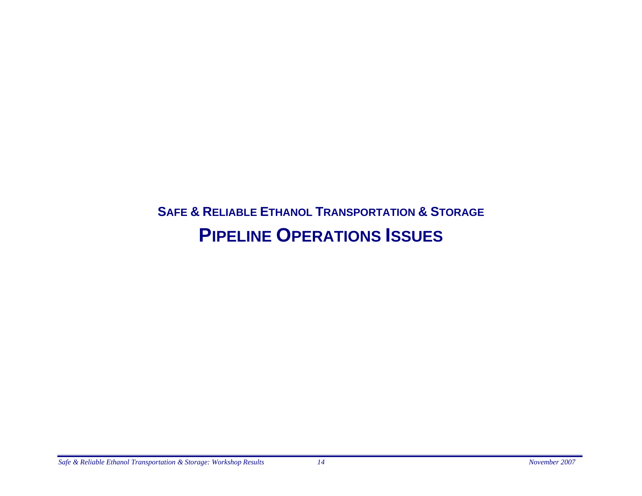### **SAFE & RELIABLE ETHANOL TRANSPORTATION & STORAGE PIPELINE OPERATIONS ISSUES**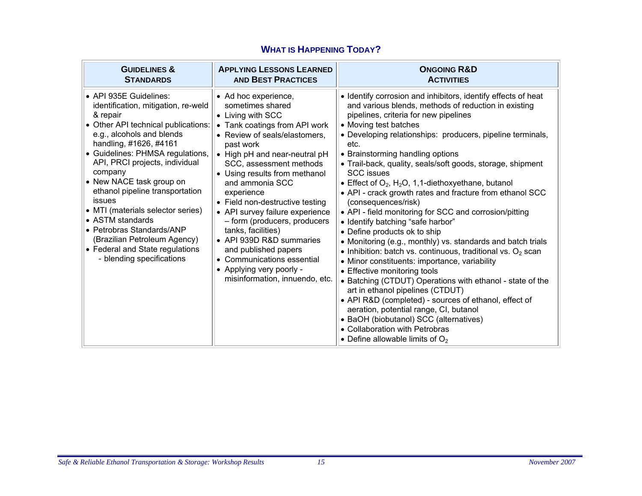| <b>GUIDELINES &amp;</b>                                                                                                                                                                                                                                                                                                                                                                                                                                                                                                 | <b>APPLYING LESSONS LEARNED</b>                                                                                                                                                                                                                                                                                                                                                                                                                                                                                                                        | <b>ONGOING R&amp;D</b>                                                                                                                                                                                                                                                                                                                                                                                                                                                                                                                                                                                                                                                                                                                                                                                                                                                                                                                                                                                                                                                                                                                                                                                             |
|-------------------------------------------------------------------------------------------------------------------------------------------------------------------------------------------------------------------------------------------------------------------------------------------------------------------------------------------------------------------------------------------------------------------------------------------------------------------------------------------------------------------------|--------------------------------------------------------------------------------------------------------------------------------------------------------------------------------------------------------------------------------------------------------------------------------------------------------------------------------------------------------------------------------------------------------------------------------------------------------------------------------------------------------------------------------------------------------|--------------------------------------------------------------------------------------------------------------------------------------------------------------------------------------------------------------------------------------------------------------------------------------------------------------------------------------------------------------------------------------------------------------------------------------------------------------------------------------------------------------------------------------------------------------------------------------------------------------------------------------------------------------------------------------------------------------------------------------------------------------------------------------------------------------------------------------------------------------------------------------------------------------------------------------------------------------------------------------------------------------------------------------------------------------------------------------------------------------------------------------------------------------------------------------------------------------------|
| <b>STANDARDS</b>                                                                                                                                                                                                                                                                                                                                                                                                                                                                                                        | <b>AND BEST PRACTICES</b>                                                                                                                                                                                                                                                                                                                                                                                                                                                                                                                              | <b>ACTIVITIES</b>                                                                                                                                                                                                                                                                                                                                                                                                                                                                                                                                                                                                                                                                                                                                                                                                                                                                                                                                                                                                                                                                                                                                                                                                  |
| • API 935E Guidelines:<br>identification, mitigation, re-weld<br>& repair<br>• Other API technical publications:<br>e.g., alcohols and blends<br>handling, #1626, #4161<br>• Guidelines: PHMSA regulations,<br>API, PRCI projects, individual<br>company<br>• New NACE task group on<br>ethanol pipeline transportation<br>issues<br>• MTI (materials selector series)<br>• ASTM standards<br>• Petrobras Standards/ANP<br>(Brazilian Petroleum Agency)<br>• Federal and State regulations<br>- blending specifications | • Ad hoc experience,<br>sometimes shared<br>• Living with SCC<br>• Tank coatings from API work<br>• Review of seals/elastomers,<br>past work<br>• High pH and near-neutral pH<br>SCC, assessment methods<br>• Using results from methanol<br>and ammonia SCC<br>experience<br>• Field non-destructive testing<br>• API survey failure experience<br>- form (producers, producers<br>tanks, facilities)<br>• API 939D R&D summaries<br>and published papers<br>• Communications essential<br>• Applying very poorly -<br>misinformation, innuendo, etc. | • Identify corrosion and inhibitors, identify effects of heat<br>and various blends, methods of reduction in existing<br>pipelines, criteria for new pipelines<br>• Moving test batches<br>• Developing relationships: producers, pipeline terminals,<br>etc.<br>• Brainstorming handling options<br>• Trail-back, quality, seals/soft goods, storage, shipment<br><b>SCC</b> issues<br>• Effect of $O_2$ , H <sub>2</sub> O, 1,1-diethoxyethane, butanol<br>• API - crack growth rates and fracture from ethanol SCC<br>(consequences/risk)<br>• API - field monitoring for SCC and corrosion/pitting<br>• Identify batching "safe harbor"<br>• Define products ok to ship<br>• Monitoring (e.g., monthly) vs. standards and batch trials<br>• Inhibition: batch vs. continuous, traditional vs. $O_2$ scan<br>• Minor constituents: importance, variability<br>• Effective monitoring tools<br>• Batching (CTDUT) Operations with ethanol - state of the<br>art in ethanol pipelines (CTDUT)<br>• API R&D (completed) - sources of ethanol, effect of<br>aeration, potential range, CI, butanol<br>• BaOH (biobutanol) SCC (alternatives)<br>• Collaboration with Petrobras<br>• Define allowable limits of $O2$ |

#### **WHAT IS HAPPENING TODAY?**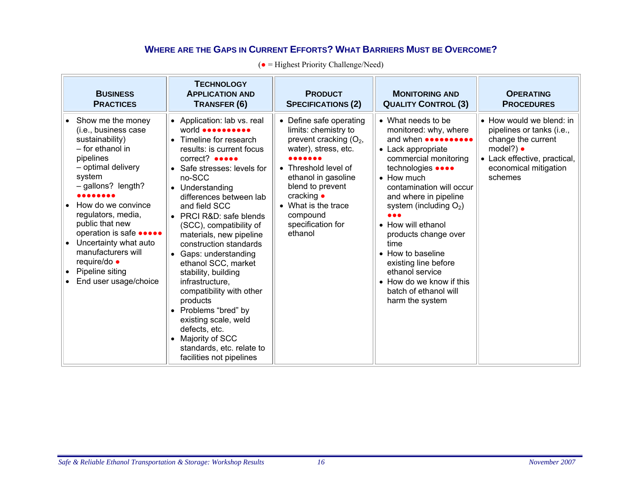#### **WHERE ARE THE GAPS IN CURRENT EFFORTS? WHAT BARRIERS MUST BE OVERCOME?**

|  |  |  |  | $\bullet$ = Highest Priority Challenge/Need) |
|--|--|--|--|----------------------------------------------|
|--|--|--|--|----------------------------------------------|

| <b>BUSINESS</b><br><b>PRACTICES</b>                                                                                                                                                                                                                                                                                                                                         | <b>TECHNOLOGY</b><br><b>APPLICATION AND</b><br>TRANSFER (6)                                                                                                                                                                                                                                                                                                                                                                                                                                                                                                                                                                         | <b>PRODUCT</b><br><b>SPECIFICATIONS (2)</b>                                                                                                                                                                                                             | <b>MONITORING AND</b><br><b>QUALITY CONTROL (3)</b>                                                                                                                                                                                                                                                                                                                                                                                                                        | <b>OPERATING</b><br><b>PROCEDURES</b>                                                                                                                                |
|-----------------------------------------------------------------------------------------------------------------------------------------------------------------------------------------------------------------------------------------------------------------------------------------------------------------------------------------------------------------------------|-------------------------------------------------------------------------------------------------------------------------------------------------------------------------------------------------------------------------------------------------------------------------------------------------------------------------------------------------------------------------------------------------------------------------------------------------------------------------------------------------------------------------------------------------------------------------------------------------------------------------------------|---------------------------------------------------------------------------------------------------------------------------------------------------------------------------------------------------------------------------------------------------------|----------------------------------------------------------------------------------------------------------------------------------------------------------------------------------------------------------------------------------------------------------------------------------------------------------------------------------------------------------------------------------------------------------------------------------------------------------------------------|----------------------------------------------------------------------------------------------------------------------------------------------------------------------|
| • Show me the money<br>(i.e., business case<br>sustainability)<br>- for ethanol in<br>pipelines<br>- optimal delivery<br>system<br>$-$ gallons? length?<br>How do we convince<br>regulators, media,<br>public that new<br>operation is safe <b></b><br>Uncertainty what auto<br>manufacturers will<br>require/do ·<br>Pipeline siting<br>$\bullet$<br>End user usage/choice | • Application: lab vs. real<br>world <b>occoccoco</b><br>• Timeline for research<br>results: is current focus<br>correct? •••••<br>• Safe stresses: levels for<br>no-SCC<br>• Understanding<br>differences between lab<br>and field SCC<br>• PRCI R&D: safe blends<br>(SCC), compatibility of<br>materials, new pipeline<br>construction standards<br>• Gaps: understanding<br>ethanol SCC, market<br>stability, building<br>infrastructure,<br>compatibility with other<br>products<br>• Problems "bred" by<br>existing scale, weld<br>defects, etc.<br>• Majority of SCC<br>standards, etc. relate to<br>facilities not pipelines | • Define safe operating<br>limits: chemistry to<br>prevent cracking $(O_2,$<br>water), stress, etc.<br>• Threshold level of<br>ethanol in gasoline<br>blend to prevent<br>cracking •<br>• What is the trace<br>compound<br>specification for<br>ethanol | • What needs to be<br>monitored: why, where<br>and when <b>second</b><br>• Lack appropriate<br>commercial monitoring<br>technologies ••••<br>$\bullet$ How much<br>contamination will occur<br>and where in pipeline<br>system (including $O_2$ )<br>$\bullet\bullet\bullet$<br>• How will ethanol<br>products change over<br>time<br>• How to baseline<br>existing line before<br>ethanol service<br>• How do we know if this<br>batch of ethanol will<br>harm the system | • How would we blend: in<br>pipelines or tanks (i.e.,<br>change the current<br>model?) $\bullet$<br>• Lack effective, practical,<br>economical mitigation<br>schemes |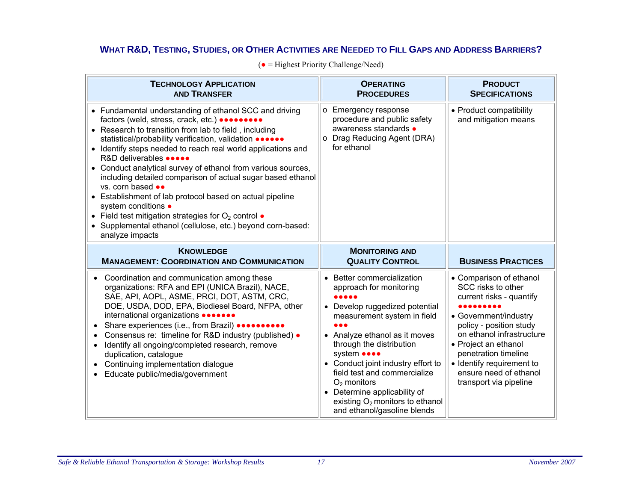#### **WHAT R&D, TESTING, STUDIES, OR OTHER ACTIVITIES ARE NEEDED TO FILL GAPS AND ADDRESS BARRIERS?**

| <b>TECHNOLOGY APPLICATION</b><br><b>AND TRANSFER</b>                                                                                                                                                                                                                                                                                                                                                                                                                                                                                                                                                                                                                                                                         | <b>OPERATING</b><br><b>PROCEDURES</b>                                                                                                                                                                                                                                                                                                                                                               | <b>PRODUCT</b><br><b>SPECIFICATIONS</b>                                                                                                                                                                                                                                                     |
|------------------------------------------------------------------------------------------------------------------------------------------------------------------------------------------------------------------------------------------------------------------------------------------------------------------------------------------------------------------------------------------------------------------------------------------------------------------------------------------------------------------------------------------------------------------------------------------------------------------------------------------------------------------------------------------------------------------------------|-----------------------------------------------------------------------------------------------------------------------------------------------------------------------------------------------------------------------------------------------------------------------------------------------------------------------------------------------------------------------------------------------------|---------------------------------------------------------------------------------------------------------------------------------------------------------------------------------------------------------------------------------------------------------------------------------------------|
| • Fundamental understanding of ethanol SCC and driving<br>factors (weld, stress, crack, etc.) <b></b><br>• Research to transition from lab to field, including<br>statistical/probability verification, validation •••••••<br>• Identify steps needed to reach real world applications and<br>R&D deliverables •••••<br>• Conduct analytical survey of ethanol from various sources,<br>including detailed comparison of actual sugar based ethanol<br>vs. corn based $\bullet\bullet$<br>• Establishment of lab protocol based on actual pipeline<br>system conditions •<br>• Field test mitigation strategies for $O2$ control $\bullet$<br>• Supplemental ethanol (cellulose, etc.) beyond corn-based:<br>analyze impacts | o Emergency response<br>procedure and public safety<br>awareness standards •<br>o Drag Reducing Agent (DRA)<br>for ethanol                                                                                                                                                                                                                                                                          | • Product compatibility<br>and mitigation means                                                                                                                                                                                                                                             |
| <b>KNOWLEDGE</b><br><b>MANAGEMENT: COORDINATION AND COMMUNICATION</b>                                                                                                                                                                                                                                                                                                                                                                                                                                                                                                                                                                                                                                                        | <b>MONITORING AND</b><br><b>QUALITY CONTROL</b>                                                                                                                                                                                                                                                                                                                                                     | <b>BUSINESS PRACTICES</b>                                                                                                                                                                                                                                                                   |
| Coordination and communication among these<br>$\bullet$<br>organizations: RFA and EPI (UNICA Brazil), NACE,<br>SAE, API, AOPL, ASME, PRCI, DOT, ASTM, CRC,<br>DOE, USDA, DOD, EPA, Biodiesel Board, NFPA, other<br>international organizations •••••••<br>Share experiences (i.e., from Brazil) <b></b><br>Consensus re: timeline for R&D industry (published) •<br>$\bullet$<br>Identify all ongoing/completed research, remove<br>$\bullet$<br>duplication, catalogue<br>Continuing implementation dialogue<br>Educate public/media/government                                                                                                                                                                             | Better commercialization<br>approach for monitoring<br>• Develop ruggedized potential<br>measurement system in field<br>• Analyze ethanol as it moves<br>through the distribution<br>system <b>oooo</b><br>• Conduct joint industry effort to<br>field test and commercialize<br>$O2$ monitors<br>• Determine applicability of<br>existing $O_2$ monitors to ethanol<br>and ethanol/gasoline blends | • Comparison of ethanol<br>SCC risks to other<br>current risks - quantify<br>• Government/industry<br>policy - position study<br>on ethanol infrastructure<br>• Project an ethanol<br>penetration timeline<br>• Identify requirement to<br>ensure need of ethanol<br>transport via pipeline |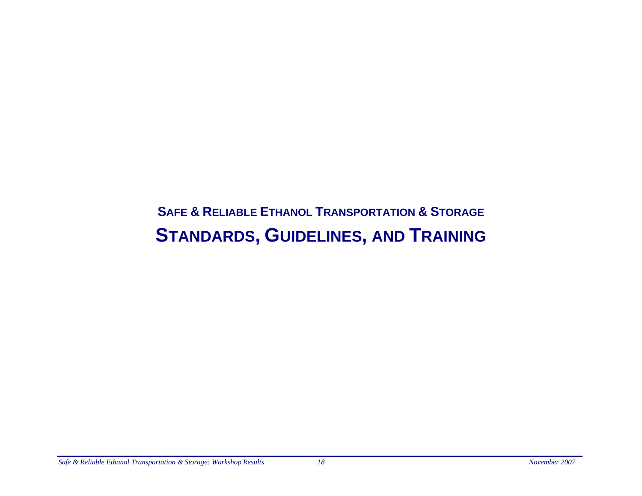### **SAFE & RELIABLE ETHANOL TRANSPORTATION & STORAGE STANDARDS, GUIDELINES, AND TRAINING**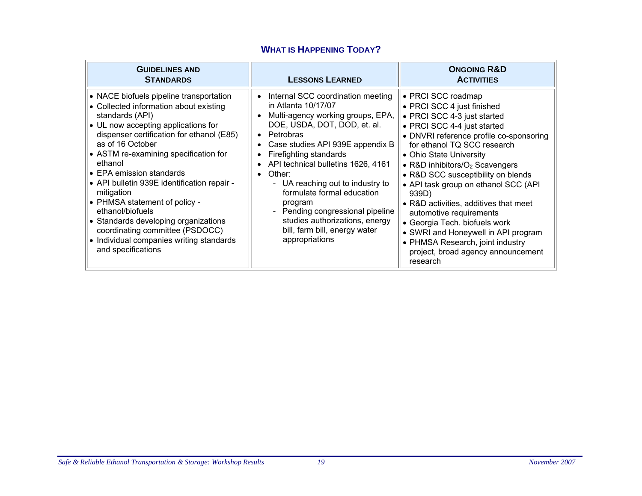| <b>GUIDELINES AND</b><br><b>STANDARDS</b>                                                                                                                                                                                                                                                                                                                                                                                                                                                                                                                   | <b>LESSONS LEARNED</b>                                                                                                                                                                                                                                                                                                                                                                                                                                             | <b>ONGOING R&amp;D</b><br><b>ACTIVITIES</b>                                                                                                                                                                                                                                                                                                                                                                                                                                                                                                                                        |
|-------------------------------------------------------------------------------------------------------------------------------------------------------------------------------------------------------------------------------------------------------------------------------------------------------------------------------------------------------------------------------------------------------------------------------------------------------------------------------------------------------------------------------------------------------------|--------------------------------------------------------------------------------------------------------------------------------------------------------------------------------------------------------------------------------------------------------------------------------------------------------------------------------------------------------------------------------------------------------------------------------------------------------------------|------------------------------------------------------------------------------------------------------------------------------------------------------------------------------------------------------------------------------------------------------------------------------------------------------------------------------------------------------------------------------------------------------------------------------------------------------------------------------------------------------------------------------------------------------------------------------------|
| • NACE biofuels pipeline transportation<br>• Collected information about existing<br>standards (API)<br>• UL now accepting applications for<br>dispenser certification for ethanol (E85)<br>as of 16 October<br>• ASTM re-examining specification for<br>ethanol<br>• EPA emission standards<br>• API bulletin 939E identification repair -<br>mitigation<br>• PHMSA statement of policy -<br>ethanol/biofuels<br>• Standards developing organizations<br>coordinating committee (PSDOCC)<br>• Individual companies writing standards<br>and specifications | • Internal SCC coordination meeting<br>in Atlanta 10/17/07<br>Multi-agency working groups, EPA,<br>DOE, USDA, DOT, DOD, et. al.<br>• Petrobras<br>Case studies API 939E appendix B<br>Firefighting standards<br>API technical bulletins 1626, 4161<br>Other:<br>- UA reaching out to industry to<br>formulate formal education<br>program<br>- Pending congressional pipeline<br>studies authorizations, energy<br>bill, farm bill, energy water<br>appropriations | • PRCI SCC roadmap<br>• PRCI SCC 4 just finished<br>• PRCI SCC 4-3 just started<br>• PRCI SCC 4-4 just started<br>• DNVRI reference profile co-sponsoring<br>for ethanol TQ SCC research<br>• Ohio State University<br>• R&D inhibitors/ $O_2$ Scavengers<br>• R&D SCC susceptibility on blends<br>• API task group on ethanol SCC (API<br>939D)<br>• R&D activities, additives that meet<br>automotive requirements<br>• Georgia Tech. biofuels work<br>• SWRI and Honeywell in API program<br>• PHMSA Research, joint industry<br>project, broad agency announcement<br>research |

#### **WHAT IS HAPPENING TODAY?**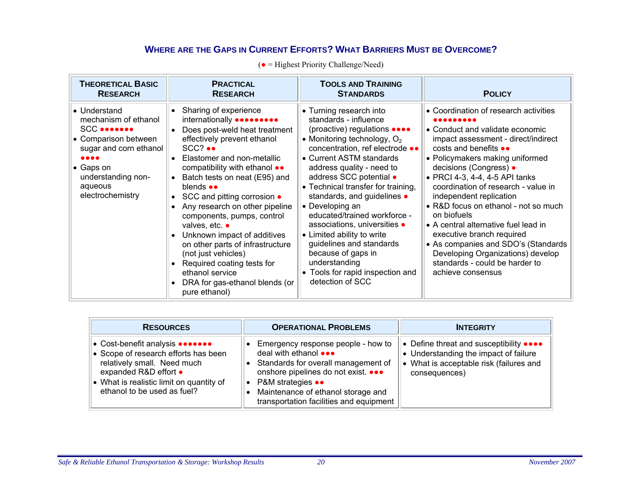#### **WHERE ARE THE GAPS IN CURRENT EFFORTS? WHAT BARRIERS MUST BE OVERCOME?**

| <b>THEORETICAL BASIC</b>                                                                                                                                                   | <b>PRACTICAL</b>                                                                                                                                                                                                                                                                                                                                                                                                                                                                                                                                                                                                                                        | <b>TOOLS AND TRAINING</b>                                                                                                                                                                                                                                                                                                                                                                                                                                                                                                                                 | <b>POLICY</b>                                                                                                                                                                                                                                                                                                                                                                                                                                                                                                                                                                          |
|----------------------------------------------------------------------------------------------------------------------------------------------------------------------------|---------------------------------------------------------------------------------------------------------------------------------------------------------------------------------------------------------------------------------------------------------------------------------------------------------------------------------------------------------------------------------------------------------------------------------------------------------------------------------------------------------------------------------------------------------------------------------------------------------------------------------------------------------|-----------------------------------------------------------------------------------------------------------------------------------------------------------------------------------------------------------------------------------------------------------------------------------------------------------------------------------------------------------------------------------------------------------------------------------------------------------------------------------------------------------------------------------------------------------|----------------------------------------------------------------------------------------------------------------------------------------------------------------------------------------------------------------------------------------------------------------------------------------------------------------------------------------------------------------------------------------------------------------------------------------------------------------------------------------------------------------------------------------------------------------------------------------|
| <b>RESEARCH</b>                                                                                                                                                            | <b>RESEARCH</b>                                                                                                                                                                                                                                                                                                                                                                                                                                                                                                                                                                                                                                         | <b>STANDARDS</b>                                                                                                                                                                                                                                                                                                                                                                                                                                                                                                                                          |                                                                                                                                                                                                                                                                                                                                                                                                                                                                                                                                                                                        |
| • Understand<br>mechanism of ethanol<br><b>SCC</b><br>• Comparison between<br>sugar and corn ethanol<br><br>• Gaps on<br>understanding non-<br>aqueous<br>electrochemistry | Sharing of experience<br>$\bullet$<br>internationally <b>onderation</b><br>Does post-weld heat treatment<br>effectively prevent ethanol<br>$SCC?$ $\bullet\bullet$<br>Elastomer and non-metallic<br>$\bullet$<br>compatibility with ethanol $\bullet\bullet$<br>Batch tests on neat (E95) and<br>blends $\bullet \bullet$<br>• SCC and pitting corrosion •<br>Any research on other pipeline<br>components, pumps, control<br>valves, etc. •<br>Unknown impact of additives<br>$\bullet$<br>on other parts of infrastructure<br>(not just vehicles)<br>Required coating tests for<br>ethanol service<br>DRA for gas-ethanol blends (or<br>pure ethanol) | • Turning research into<br>standards - influence<br>(proactive) regulations ••••<br>• Monitoring technology, $O2$<br>concentration, ref electrode ••<br>• Current ASTM standards<br>address quality - need to<br>address SCC potential •<br>• Technical transfer for training,<br>standards, and guidelines •<br>• Developing an<br>educated/trained workforce -<br>associations, universities •<br>• Limited ability to write<br>guidelines and standards<br>because of gaps in<br>understanding<br>• Tools for rapid inspection and<br>detection of SCC | • Coordination of research activities<br>• Conduct and validate economic<br>impact assessment - direct/indirect<br>costs and benefits $\bullet\bullet$<br>• Policymakers making uniformed<br>decisions (Congress) •<br>• PRCI 4-3, 4-4, 4-5 API tanks<br>coordination of research - value in<br>independent replication<br>• R&D focus on ethanol - not so much<br>on biofuels<br>• A central alternative fuel lead in<br>executive branch required<br>• As companies and SDO's (Standards<br>Developing Organizations) develop<br>standards - could be harder to<br>achieve consensus |

| <b>RESOURCES</b>                                                                                                                                                                                           | <b>OPERATIONAL PROBLEMS</b>                                                                                                                                                                                                                                             | <b>INTEGRITY</b>                                                                                                                           |
|------------------------------------------------------------------------------------------------------------------------------------------------------------------------------------------------------------|-------------------------------------------------------------------------------------------------------------------------------------------------------------------------------------------------------------------------------------------------------------------------|--------------------------------------------------------------------------------------------------------------------------------------------|
| • Cost-benefit analysis •••••••<br>• Scope of research efforts has been<br>relatively small. Need much<br>expanded R&D effort •<br>• What is realistic limit on quantity of<br>ethanol to be used as fuel? | Emergency response people - how to<br>deal with ethanol •••<br>Standards for overall management of<br>onshore pipelines do not exist. •••<br><b>P&amp;M</b> strategies ••<br>$\bullet$<br>Maintenance of ethanol storage and<br>transportation facilities and equipment | • Define threat and susceptibility ••••<br>• Understanding the impact of failure<br>What is acceptable risk (failures and<br>consequences) |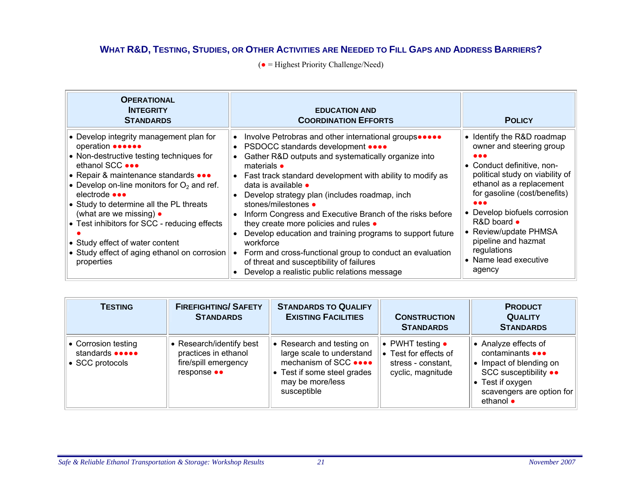#### **WHAT R&D, TESTING, STUDIES, OR OTHER ACTIVITIES ARE NEEDED TO FILL GAPS AND ADDRESS BARRIERS?**

| <b>OPERATIONAL</b><br><b>INTEGRITY</b><br><b>STANDARDS</b>                                                                                                                                                                                                                                                                                                                                                                                                                                 | <b>EDUCATION AND</b><br><b>COORDINATION EFFORTS</b>                                                                                                                                                                                                                                                                                                                                                                                                                                                                                                                                                                                                                                | <b>POLICY</b>                                                                                                                                                                                                                                                                                                                                                                                        |
|--------------------------------------------------------------------------------------------------------------------------------------------------------------------------------------------------------------------------------------------------------------------------------------------------------------------------------------------------------------------------------------------------------------------------------------------------------------------------------------------|------------------------------------------------------------------------------------------------------------------------------------------------------------------------------------------------------------------------------------------------------------------------------------------------------------------------------------------------------------------------------------------------------------------------------------------------------------------------------------------------------------------------------------------------------------------------------------------------------------------------------------------------------------------------------------|------------------------------------------------------------------------------------------------------------------------------------------------------------------------------------------------------------------------------------------------------------------------------------------------------------------------------------------------------------------------------------------------------|
| • Develop integrity management plan for<br>operation <b></b><br>• Non-destructive testing techniques for<br>ethanol SCC •••<br>• Repair & maintenance standards •••<br>• Develop on-line monitors for $O_2$ and ref.<br>electrode $\bullet \bullet \bullet$<br>• Study to determine all the PL threats<br>(what are we missing) $\bullet$<br>• Test inhibitors for SCC - reducing effects<br>• Study effect of water content<br>• Study effect of aging ethanol on corrosion<br>properties | Involve Petrobras and other international groups<br>• PSDOCC standards development ••••<br>Gather R&D outputs and systematically organize into<br>materials $\bullet$<br>• Fast track standard development with ability to modify as<br>data is available $\bullet$<br>Develop strategy plan (includes roadmap, inch<br>stones/milestones •<br>Inform Congress and Executive Branch of the risks before<br>they create more policies and rules .<br>Develop education and training programs to support future<br>workforce<br>Form and cross-functional group to conduct an evaluation<br>of threat and susceptibility of failures<br>Develop a realistic public relations message | • Identify the R&D roadmap<br>owner and steering group<br>$\bullet\bullet\bullet$<br>• Conduct definitive, non-<br>political study on viability of<br>ethanol as a replacement<br>for gasoline (cost/benefits)<br>$\bullet\bullet\bullet$<br>• Develop biofuels corrosion<br>$R&D$ board $\bullet$<br>• Review/update PHMSA<br>pipeline and hazmat<br>regulations<br>• Name lead executive<br>agency |

| <b>TESTING</b>                                                    | <b>FIREFIGHTING/ SAFETY</b><br><b>STANDARDS</b>                                       | <b>STANDARDS TO QUALIFY</b><br><b>EXISTING FACILITIES</b>                                                                                         | <b>CONSTRUCTION</b><br><b>STANDARDS</b>                                                      | <b>PRODUCT</b><br><b>QUALITY</b><br><b>STANDARDS</b>                                                                                                             |
|-------------------------------------------------------------------|---------------------------------------------------------------------------------------|---------------------------------------------------------------------------------------------------------------------------------------------------|----------------------------------------------------------------------------------------------|------------------------------------------------------------------------------------------------------------------------------------------------------------------|
| • Corrosion testing<br>standards <b>of one</b><br>• SCC protocols | Research/identify best<br>practices in ethanol<br>fire/spill emergency<br>response •• | • Research and testing on<br>large scale to understand<br>mechanism of SCC ••••<br>• Test if some steel grades<br>may be more/less<br>susceptible | • PWHT testing $\bullet$<br>• Test for effects of<br>stress - constant,<br>cyclic, magnitude | • Analyze effects of<br>contaminants •••<br>Impact of blending on<br>SCC susceptibility ••<br>• Test if oxygen<br>scavengers are option for<br>ethanol $\bullet$ |